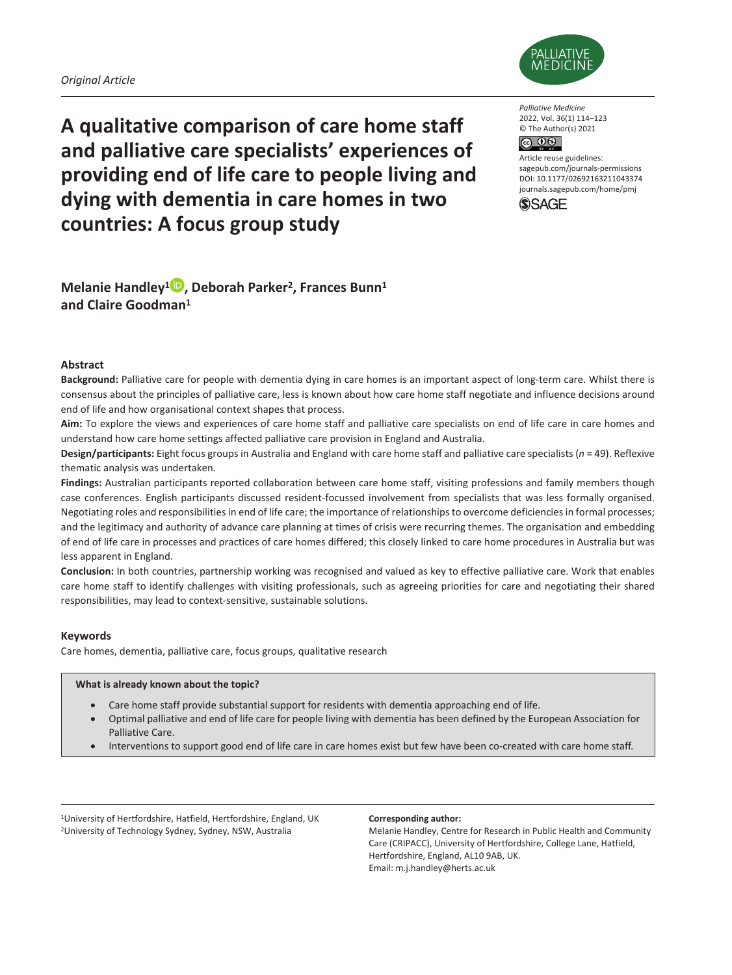

**A qualitative comparison of care home staff and palliative care specialists' experiences of providing end of life care to people living and dying with dementia in care homes in two countries: A focus group study**

*Palliative Medicine* 2022, Vol. 36(1) 114–123 © The Author(s) 2021 

Article reuse guidelines: [sagepub.com/journals-permissions](https://uk.sagepub.com/en-gb/journals-permissions) DOI: 10.1177/02692163211043374 [journals.sagepub.com/home/pmj](http://journals.sagepub.com/home/pmj)



**Melanie Handley1 , Deborah Parker2, Frances Bunn1 and Claire Goodman1**

### **Abstract**

**Background:** Palliative care for people with dementia dying in care homes is an important aspect of long-term care. Whilst there is consensus about the principles of palliative care, less is known about how care home staff negotiate and influence decisions around end of life and how organisational context shapes that process.

**Aim:** To explore the views and experiences of care home staff and palliative care specialists on end of life care in care homes and understand how care home settings affected palliative care provision in England and Australia.

**Design/participants:** Eight focus groups in Australia and England with care home staff and palliative care specialists (*n* = 49). Reflexive thematic analysis was undertaken.

Findings: Australian participants reported collaboration between care home staff, visiting professions and family members though case conferences. English participants discussed resident-focussed involvement from specialists that was less formally organised. Negotiating roles and responsibilities in end of life care; the importance of relationships to overcome deficiencies in formal processes; and the legitimacy and authority of advance care planning at times of crisis were recurring themes. The organisation and embedding of end of life care in processes and practices of care homes differed; this closely linked to care home procedures in Australia but was less apparent in England.

**Conclusion:** In both countries, partnership working was recognised and valued as key to effective palliative care. Work that enables care home staff to identify challenges with visiting professionals, such as agreeing priorities for care and negotiating their shared responsibilities, may lead to context-sensitive, sustainable solutions.

### **Keywords**

Care homes, dementia, palliative care, focus groups, qualitative research

### **What is already known about the topic?**

- Care home staff provide substantial support for residents with dementia approaching end of life.
- Optimal palliative and end of life care for people living with dementia has been defined by the European Association for Palliative Care.
- Interventions to support good end of life care in care homes exist but few have been co-created with care home staff.

<sup>1</sup>University of Hertfordshire, Hatfield, Hertfordshire, England, UK 2University of Technology Sydney, Sydney, NSW, Australia

#### **Corresponding author:**

Melanie Handley, Centre for Research in Public Health and Community Care (CRIPACC), University of Hertfordshire, College Lane, Hatfield, Hertfordshire, England, AL10 9AB, UK. Email: [m.j.handley@herts.ac.uk](mailto:m.j.handley@herts.ac.uk)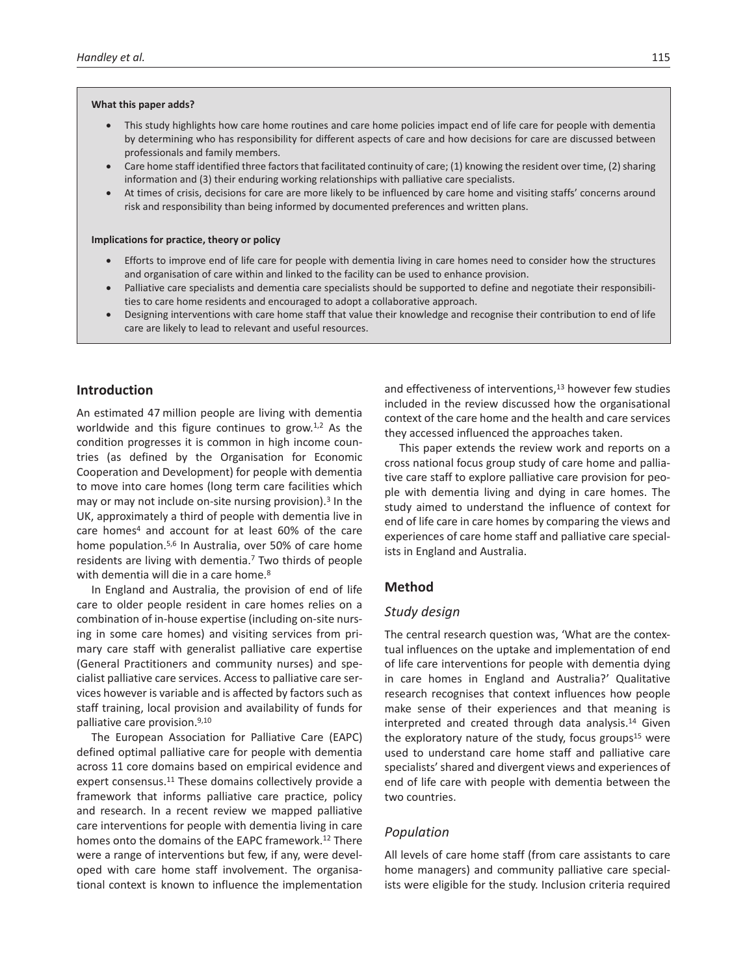#### **What this paper adds?**

- This study highlights how care home routines and care home policies impact end of life care for people with dementia by determining who has responsibility for different aspects of care and how decisions for care are discussed between professionals and family members.
- Care home staff identified three factors that facilitated continuity of care; (1) knowing the resident over time, (2) sharing information and (3) their enduring working relationships with palliative care specialists.
- At times of crisis, decisions for care are more likely to be influenced by care home and visiting staffs' concerns around risk and responsibility than being informed by documented preferences and written plans.

#### **Implications for practice, theory or policy**

- Efforts to improve end of life care for people with dementia living in care homes need to consider how the structures and organisation of care within and linked to the facility can be used to enhance provision.
- Palliative care specialists and dementia care specialists should be supported to define and negotiate their responsibilities to care home residents and encouraged to adopt a collaborative approach.
- Designing interventions with care home staff that value their knowledge and recognise their contribution to end of life care are likely to lead to relevant and useful resources.

### **Introduction**

An estimated 47 million people are living with dementia worldwide and this figure continues to grow.<sup>1,2</sup> As the condition progresses it is common in high income countries (as defined by the Organisation for Economic Cooperation and Development) for people with dementia to move into care homes (long term care facilities which may or may not include on-site nursing provision).<sup>3</sup> In the UK, approximately a third of people with dementia live in care homes<sup>4</sup> and account for at least 60% of the care home population.5,6 In Australia, over 50% of care home residents are living with dementia.7 Two thirds of people with dementia will die in a care home.<sup>8</sup>

In England and Australia, the provision of end of life care to older people resident in care homes relies on a combination of in-house expertise (including on-site nursing in some care homes) and visiting services from primary care staff with generalist palliative care expertise (General Practitioners and community nurses) and specialist palliative care services. Access to palliative care services however is variable and is affected by factors such as staff training, local provision and availability of funds for palliative care provision.9,10

The European Association for Palliative Care (EAPC) defined optimal palliative care for people with dementia across 11 core domains based on empirical evidence and expert consensus.<sup>11</sup> These domains collectively provide a framework that informs palliative care practice, policy and research. In a recent review we mapped palliative care interventions for people with dementia living in care homes onto the domains of the EAPC framework.<sup>12</sup> There were a range of interventions but few, if any, were developed with care home staff involvement. The organisational context is known to influence the implementation and effectiveness of interventions,<sup>13</sup> however few studies included in the review discussed how the organisational context of the care home and the health and care services they accessed influenced the approaches taken.

This paper extends the review work and reports on a cross national focus group study of care home and palliative care staff to explore palliative care provision for people with dementia living and dying in care homes. The study aimed to understand the influence of context for end of life care in care homes by comparing the views and experiences of care home staff and palliative care specialists in England and Australia.

### **Method**

### *Study design*

The central research question was, 'What are the contextual influences on the uptake and implementation of end of life care interventions for people with dementia dying in care homes in England and Australia?' Qualitative research recognises that context influences how people make sense of their experiences and that meaning is interpreted and created through data analysis.<sup>14</sup> Given the exploratory nature of the study, focus groups $15$  were used to understand care home staff and palliative care specialists' shared and divergent views and experiences of end of life care with people with dementia between the two countries.

### *Population*

All levels of care home staff (from care assistants to care home managers) and community palliative care specialists were eligible for the study. Inclusion criteria required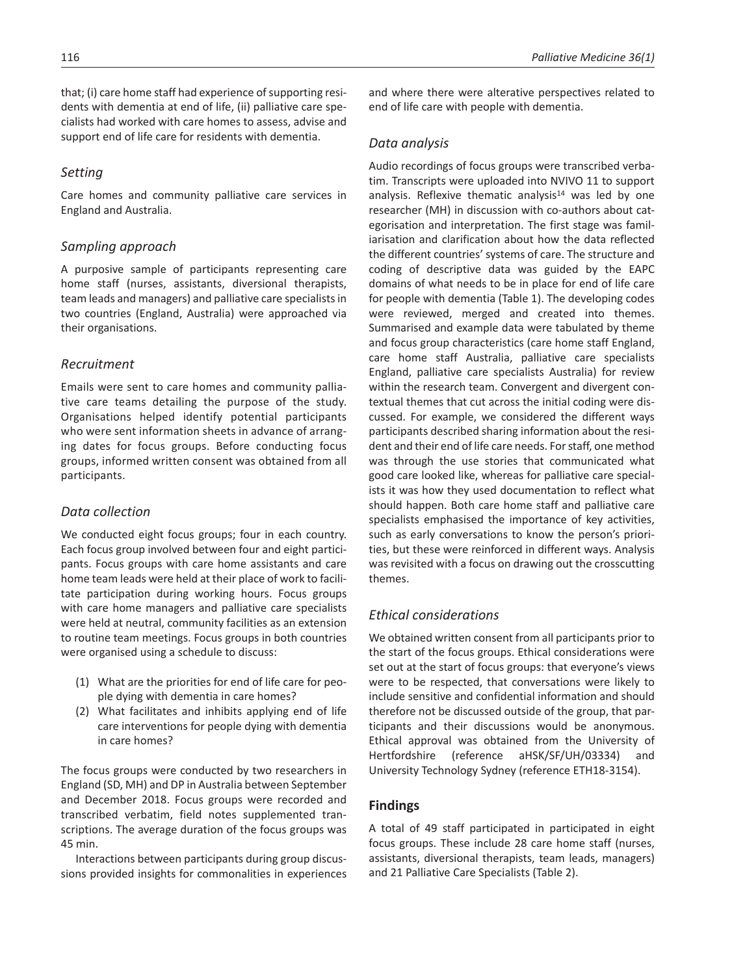that; (i) care home staff had experience of supporting residents with dementia at end of life, (ii) palliative care specialists had worked with care homes to assess, advise and support end of life care for residents with dementia.

## *Setting*

Care homes and community palliative care services in England and Australia.

## *Sampling approach*

A purposive sample of participants representing care home staff (nurses, assistants, diversional therapists, team leads and managers) and palliative care specialists in two countries (England, Australia) were approached via their organisations.

## *Recruitment*

Emails were sent to care homes and community palliative care teams detailing the purpose of the study. Organisations helped identify potential participants who were sent information sheets in advance of arranging dates for focus groups. Before conducting focus groups, informed written consent was obtained from all participants.

## *Data collection*

We conducted eight focus groups; four in each country. Each focus group involved between four and eight participants. Focus groups with care home assistants and care home team leads were held at their place of work to facilitate participation during working hours. Focus groups with care home managers and palliative care specialists were held at neutral, community facilities as an extension to routine team meetings. Focus groups in both countries were organised using a schedule to discuss:

- (1) What are the priorities for end of life care for people dying with dementia in care homes?
- (2) What facilitates and inhibits applying end of life care interventions for people dying with dementia in care homes?

The focus groups were conducted by two researchers in England (SD, MH) and DP in Australia between September and December 2018. Focus groups were recorded and transcribed verbatim, field notes supplemented transcriptions. The average duration of the focus groups was 45 min.

Interactions between participants during group discussions provided insights for commonalities in experiences and where there were alterative perspectives related to end of life care with people with dementia.

## *Data analysis*

Audio recordings of focus groups were transcribed verbatim. Transcripts were uploaded into NVIVO 11 to support analysis. Reflexive thematic analysis<sup>14</sup> was led by one researcher (MH) in discussion with co-authors about categorisation and interpretation. The first stage was familiarisation and clarification about how the data reflected the different countries' systems of care. The structure and coding of descriptive data was guided by the EAPC domains of what needs to be in place for end of life care for people with dementia (Table 1). The developing codes were reviewed, merged and created into themes. Summarised and example data were tabulated by theme and focus group characteristics (care home staff England, care home staff Australia, palliative care specialists England, palliative care specialists Australia) for review within the research team. Convergent and divergent contextual themes that cut across the initial coding were discussed. For example, we considered the different ways participants described sharing information about the resident and their end of life care needs. For staff, one method was through the use stories that communicated what good care looked like, whereas for palliative care specialists it was how they used documentation to reflect what should happen. Both care home staff and palliative care specialists emphasised the importance of key activities, such as early conversations to know the person's priorities, but these were reinforced in different ways. Analysis was revisited with a focus on drawing out the crosscutting themes.

## *Ethical considerations*

We obtained written consent from all participants prior to the start of the focus groups. Ethical considerations were set out at the start of focus groups: that everyone's views were to be respected, that conversations were likely to include sensitive and confidential information and should therefore not be discussed outside of the group, that participants and their discussions would be anonymous. Ethical approval was obtained from the University of Hertfordshire (reference aHSK/SF/UH/03334) and University Technology Sydney (reference ETH18-3154).

## **Findings**

A total of 49 staff participated in participated in eight focus groups. These include 28 care home staff (nurses, assistants, diversional therapists, team leads, managers) and 21 Palliative Care Specialists (Table 2).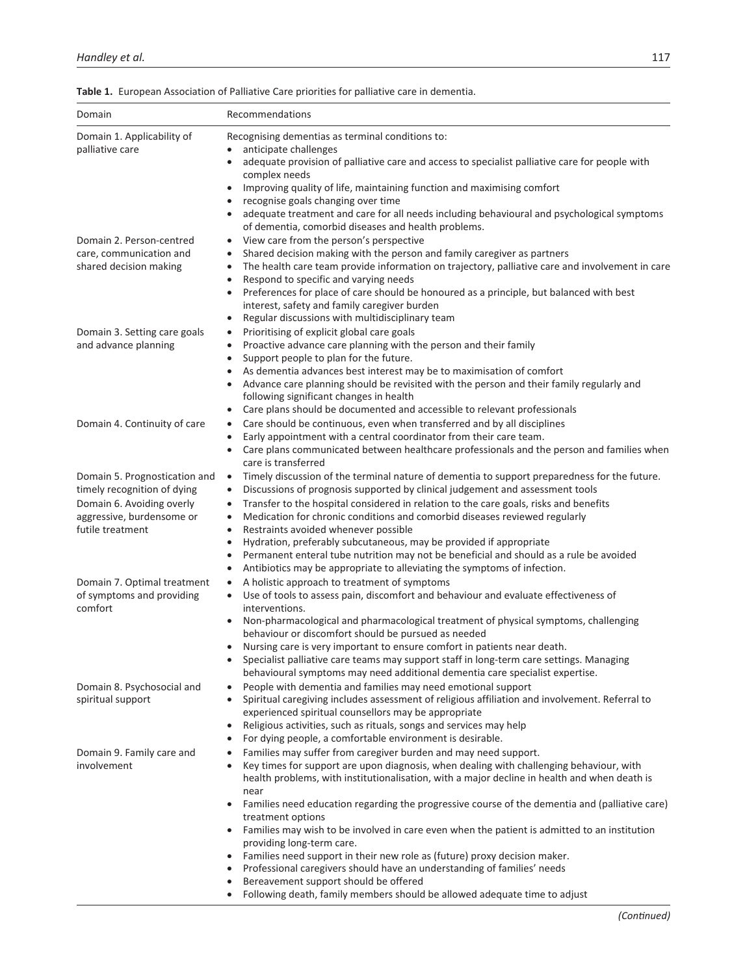| Description of the Association of the Contract of the Contract of the Contract of the Contract of the Contract of the Contract of the Contract of the Contract of the Contract of the Contract of the Contract of the Contract | For a consistence of a computer of a consistence of the constitution of a constant |  |  |  |
|--------------------------------------------------------------------------------------------------------------------------------------------------------------------------------------------------------------------------------|------------------------------------------------------------------------------------|--|--|--|
| Domain                                                                                                                                                                                                                         | <b>Recommendations</b>                                                             |  |  |  |
| Table 1. European Association of Palliative Care priorities for palliative care in dementia.                                                                                                                                   |                                                                                    |  |  |  |

| Domain 1. Applicability of           | Recognising dementias as terminal conditions to:                                                                   |
|--------------------------------------|--------------------------------------------------------------------------------------------------------------------|
| palliative care                      | anticipate challenges                                                                                              |
|                                      | adequate provision of palliative care and access to specialist palliative care for people with                     |
|                                      | complex needs                                                                                                      |
|                                      | Improving quality of life, maintaining function and maximising comfort                                             |
|                                      | recognise goals changing over time                                                                                 |
|                                      | adequate treatment and care for all needs including behavioural and psychological symptoms                         |
|                                      | of dementia, comorbid diseases and health problems.                                                                |
| Domain 2. Person-centred             | View care from the person's perspective<br>$\bullet$                                                               |
| care, communication and              | Shared decision making with the person and family caregiver as partners<br>$\bullet$                               |
| shared decision making               | The health care team provide information on trajectory, palliative care and involvement in care<br>$\bullet$       |
|                                      | Respond to specific and varying needs<br>$\bullet$                                                                 |
|                                      | Preferences for place of care should be honoured as a principle, but balanced with best<br>$\bullet$               |
|                                      | interest, safety and family caregiver burden                                                                       |
|                                      | Regular discussions with multidisciplinary team<br>$\bullet$                                                       |
| Domain 3. Setting care goals         | Prioritising of explicit global care goals<br>$\bullet$                                                            |
| and advance planning                 | Proactive advance care planning with the person and their family<br>$\bullet$                                      |
|                                      | Support people to plan for the future.<br>$\bullet$                                                                |
|                                      | As dementia advances best interest may be to maximisation of comfort<br>٠                                          |
|                                      | Advance care planning should be revisited with the person and their family regularly and<br>$\bullet$              |
|                                      | following significant changes in health                                                                            |
|                                      | Care plans should be documented and accessible to relevant professionals<br>$\bullet$                              |
| Domain 4. Continuity of care         | Care should be continuous, even when transferred and by all disciplines<br>$\bullet$                               |
|                                      | Early appointment with a central coordinator from their care team.<br>٠                                            |
|                                      | Care plans communicated between healthcare professionals and the person and families when<br>care is transferred   |
|                                      |                                                                                                                    |
| Domain 5. Prognostication and        | Timely discussion of the terminal nature of dementia to support preparedness for the future.<br>$\bullet$          |
| timely recognition of dying          | Discussions of prognosis supported by clinical judgement and assessment tools<br>$\bullet$                         |
| Domain 6. Avoiding overly            | Transfer to the hospital considered in relation to the care goals, risks and benefits<br>$\bullet$                 |
| aggressive, burdensome or            | Medication for chronic conditions and comorbid diseases reviewed regularly<br>$\bullet$                            |
| futile treatment                     | Restraints avoided whenever possible<br>$\bullet$                                                                  |
|                                      | Hydration, preferably subcutaneous, may be provided if appropriate<br>$\bullet$                                    |
|                                      | Permanent enteral tube nutrition may not be beneficial and should as a rule be avoided<br>$\bullet$                |
|                                      | Antibiotics may be appropriate to alleviating the symptoms of infection.<br>$\bullet$                              |
| Domain 7. Optimal treatment          | A holistic approach to treatment of symptoms<br>$\bullet$                                                          |
| of symptoms and providing<br>comfort | Use of tools to assess pain, discomfort and behaviour and evaluate effectiveness of<br>$\bullet$<br>interventions. |
|                                      | Non-pharmacological and pharmacological treatment of physical symptoms, challenging                                |
|                                      | behaviour or discomfort should be pursued as needed                                                                |
|                                      | Nursing care is very important to ensure comfort in patients near death.                                           |
|                                      | Specialist palliative care teams may support staff in long-term care settings. Managing                            |
|                                      | behavioural symptoms may need additional dementia care specialist expertise.                                       |
| Domain 8. Psychosocial and           | People with dementia and families may need emotional support                                                       |
| spiritual support                    | Spiritual caregiving includes assessment of religious affiliation and involvement. Referral to                     |
|                                      | experienced spiritual counsellors may be appropriate                                                               |
|                                      | Religious activities, such as rituals, songs and services may help<br>$\bullet$                                    |
|                                      | For dying people, a comfortable environment is desirable.<br>$\bullet$                                             |
| Domain 9. Family care and            | Families may suffer from caregiver burden and may need support.                                                    |
| involvement                          | Key times for support are upon diagnosis, when dealing with challenging behaviour, with                            |
|                                      | health problems, with institutionalisation, with a major decline in health and when death is                       |
|                                      | near                                                                                                               |
|                                      | Families need education regarding the progressive course of the dementia and (palliative care)                     |
|                                      | treatment options                                                                                                  |
|                                      | Families may wish to be involved in care even when the patient is admitted to an institution<br>$\bullet$          |
|                                      | providing long-term care.                                                                                          |
|                                      | Families need support in their new role as (future) proxy decision maker.<br>$\bullet$                             |
|                                      | Professional caregivers should have an understanding of families' needs                                            |
|                                      | Bereavement support should be offered<br>$\bullet$                                                                 |
|                                      | Following death, family members should be allowed adequate time to adjust                                          |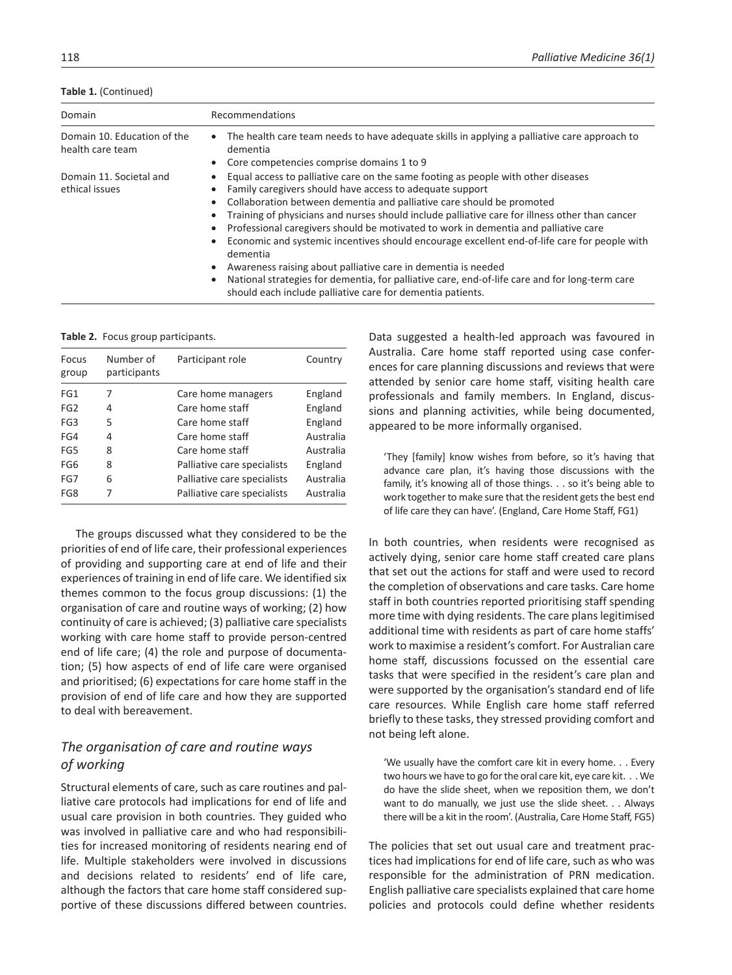|  | Table 1. (Continued) |
|--|----------------------|
|--|----------------------|

| Domain                                          | Recommendations                                                                                                                                                                                                                                                                                                                                                                                                                                                                                                                                                                 |  |  |
|-------------------------------------------------|---------------------------------------------------------------------------------------------------------------------------------------------------------------------------------------------------------------------------------------------------------------------------------------------------------------------------------------------------------------------------------------------------------------------------------------------------------------------------------------------------------------------------------------------------------------------------------|--|--|
| Domain 10. Education of the<br>health care team | • The health care team needs to have adequate skills in applying a palliative care approach to<br>dementia<br>Core competencies comprise domains 1 to 9<br>$\bullet$                                                                                                                                                                                                                                                                                                                                                                                                            |  |  |
| Domain 11. Societal and<br>ethical issues       | Equal access to palliative care on the same footing as people with other diseases<br>$\bullet$<br>Family caregivers should have access to adequate support<br>Collaboration between dementia and palliative care should be promoted<br>$\bullet$<br>Training of physicians and nurses should include palliative care for illness other than cancer<br>Professional caregivers should be motivated to work in dementia and palliative care<br>$\bullet$<br>Economic and systemic incentives should encourage excellent end-of-life care for people with<br>$\bullet$<br>dementia |  |  |
|                                                 | Awareness raising about palliative care in dementia is needed<br>٠<br>National strategies for dementia, for palliative care, end-of-life care and for long-term care<br>$\bullet$<br>should each include palliative care for dementia patients.                                                                                                                                                                                                                                                                                                                                 |  |  |

**Table 2.** Focus group participants.

| Focus<br>group  | Number of<br>participants | Participant role            | Country   |
|-----------------|---------------------------|-----------------------------|-----------|
| FG1             | 7                         | Care home managers          | England   |
| FG <sub>2</sub> | 4                         | Care home staff             | England   |
| FG <sub>3</sub> | 5                         | Care home staff             | England   |
| FG4             | 4                         | Care home staff             | Australia |
| FG5             | 8                         | Care home staff             | Australia |
| FG <sub>6</sub> | 8                         | Palliative care specialists | England   |
| FG7             | 6                         | Palliative care specialists | Australia |
| FG8             |                           | Palliative care specialists | Australia |

The groups discussed what they considered to be the priorities of end of life care, their professional experiences of providing and supporting care at end of life and their experiences of training in end of life care. We identified six themes common to the focus group discussions: (1) the organisation of care and routine ways of working; (2) how continuity of care is achieved; (3) palliative care specialists working with care home staff to provide person-centred end of life care; (4) the role and purpose of documentation; (5) how aspects of end of life care were organised and prioritised; (6) expectations for care home staff in the provision of end of life care and how they are supported to deal with bereavement.

## *The organisation of care and routine ways of working*

Structural elements of care, such as care routines and palliative care protocols had implications for end of life and usual care provision in both countries. They guided who was involved in palliative care and who had responsibilities for increased monitoring of residents nearing end of life. Multiple stakeholders were involved in discussions and decisions related to residents' end of life care, although the factors that care home staff considered supportive of these discussions differed between countries.

Data suggested a health-led approach was favoured in Australia. Care home staff reported using case conferences for care planning discussions and reviews that were attended by senior care home staff, visiting health care professionals and family members. In England, discussions and planning activities, while being documented, appeared to be more informally organised.

'They [family] know wishes from before, so it's having that advance care plan, it's having those discussions with the family, it's knowing all of those things. . . so it's being able to work together to make sure that the resident gets the best end of life care they can have'. (England, Care Home Staff, FG1)

In both countries, when residents were recognised as actively dying, senior care home staff created care plans that set out the actions for staff and were used to record the completion of observations and care tasks. Care home staff in both countries reported prioritising staff spending more time with dying residents. The care plans legitimised additional time with residents as part of care home staffs' work to maximise a resident's comfort. For Australian care home staff, discussions focussed on the essential care tasks that were specified in the resident's care plan and were supported by the organisation's standard end of life care resources. While English care home staff referred briefly to these tasks, they stressed providing comfort and not being left alone.

'We usually have the comfort care kit in every home. . . Every two hours we have to go for the oral care kit, eye care kit. . . We do have the slide sheet, when we reposition them, we don't want to do manually, we just use the slide sheet. . . Always there will be a kit in the room'. (Australia, Care Home Staff, FG5)

The policies that set out usual care and treatment practices had implications for end of life care, such as who was responsible for the administration of PRN medication. English palliative care specialists explained that care home policies and protocols could define whether residents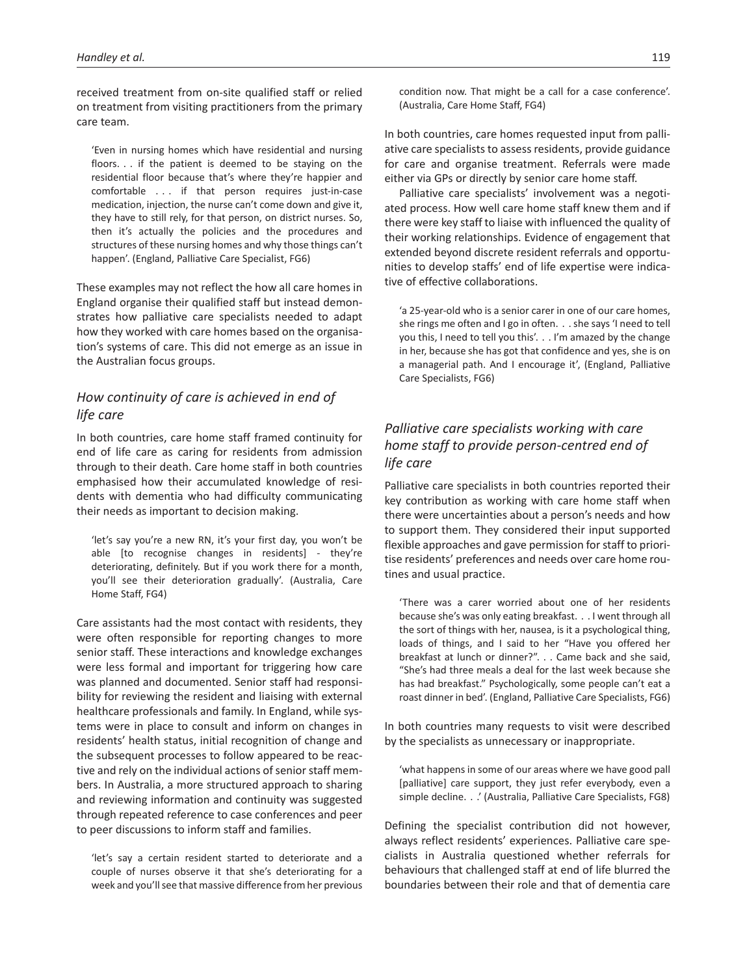received treatment from on-site qualified staff or relied on treatment from visiting practitioners from the primary care team.

'Even in nursing homes which have residential and nursing floors. . . if the patient is deemed to be staying on the residential floor because that's where they're happier and comfortable . . . if that person requires just-in-case medication, injection, the nurse can't come down and give it, they have to still rely, for that person, on district nurses. So, then it's actually the policies and the procedures and structures of these nursing homes and why those things can't happen'. (England, Palliative Care Specialist, FG6)

These examples may not reflect the how all care homes in England organise their qualified staff but instead demonstrates how palliative care specialists needed to adapt how they worked with care homes based on the organisation's systems of care. This did not emerge as an issue in the Australian focus groups.

# *How continuity of care is achieved in end of life care*

In both countries, care home staff framed continuity for end of life care as caring for residents from admission through to their death. Care home staff in both countries emphasised how their accumulated knowledge of residents with dementia who had difficulty communicating their needs as important to decision making.

'let's say you're a new RN, it's your first day, you won't be able [to recognise changes in residents] - they're deteriorating, definitely. But if you work there for a month, you'll see their deterioration gradually'. (Australia, Care Home Staff, FG4)

Care assistants had the most contact with residents, they were often responsible for reporting changes to more senior staff. These interactions and knowledge exchanges were less formal and important for triggering how care was planned and documented. Senior staff had responsibility for reviewing the resident and liaising with external healthcare professionals and family. In England, while systems were in place to consult and inform on changes in residents' health status, initial recognition of change and the subsequent processes to follow appeared to be reactive and rely on the individual actions of senior staff members. In Australia, a more structured approach to sharing and reviewing information and continuity was suggested through repeated reference to case conferences and peer to peer discussions to inform staff and families.

'let's say a certain resident started to deteriorate and a couple of nurses observe it that she's deteriorating for a week and you'll see that massive difference from her previous condition now. That might be a call for a case conference'. (Australia, Care Home Staff, FG4)

In both countries, care homes requested input from palliative care specialists to assess residents, provide guidance for care and organise treatment. Referrals were made either via GPs or directly by senior care home staff.

Palliative care specialists' involvement was a negotiated process. How well care home staff knew them and if there were key staff to liaise with influenced the quality of their working relationships. Evidence of engagement that extended beyond discrete resident referrals and opportunities to develop staffs' end of life expertise were indicative of effective collaborations.

'a 25-year-old who is a senior carer in one of our care homes, she rings me often and I go in often. . . she says 'I need to tell you this, I need to tell you this'. . . I'm amazed by the change in her, because she has got that confidence and yes, she is on a managerial path. And I encourage it', (England, Palliative Care Specialists, FG6)

# *Palliative care specialists working with care home staff to provide person-centred end of life care*

Palliative care specialists in both countries reported their key contribution as working with care home staff when there were uncertainties about a person's needs and how to support them. They considered their input supported flexible approaches and gave permission for staff to prioritise residents' preferences and needs over care home routines and usual practice.

'There was a carer worried about one of her residents because she's was only eating breakfast. . . I went through all the sort of things with her, nausea, is it a psychological thing, loads of things, and I said to her "Have you offered her breakfast at lunch or dinner?". . . Came back and she said, "She's had three meals a deal for the last week because she has had breakfast." Psychologically, some people can't eat a roast dinner in bed'. (England, Palliative Care Specialists, FG6)

In both countries many requests to visit were described by the specialists as unnecessary or inappropriate.

'what happens in some of our areas where we have good pall [palliative] care support, they just refer everybody, even a simple decline. . .' (Australia, Palliative Care Specialists, FG8)

Defining the specialist contribution did not however, always reflect residents' experiences. Palliative care specialists in Australia questioned whether referrals for behaviours that challenged staff at end of life blurred the boundaries between their role and that of dementia care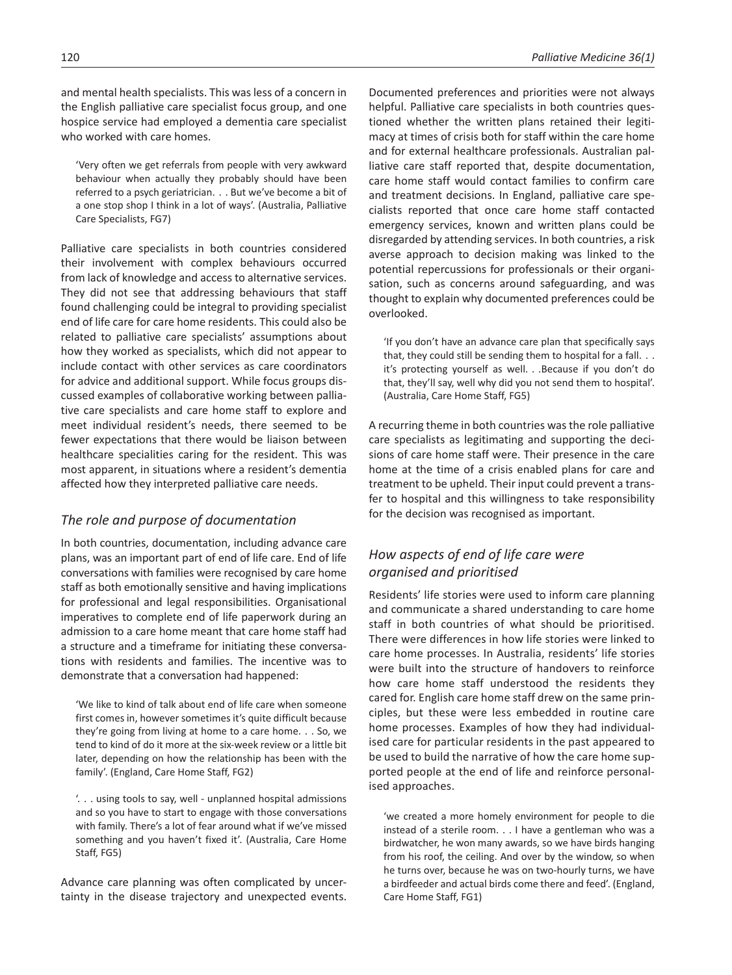and mental health specialists. This was less of a concern in the English palliative care specialist focus group, and one hospice service had employed a dementia care specialist who worked with care homes.

'Very often we get referrals from people with very awkward behaviour when actually they probably should have been referred to a psych geriatrician. . . But we've become a bit of a one stop shop I think in a lot of ways'. (Australia, Palliative Care Specialists, FG7)

Palliative care specialists in both countries considered their involvement with complex behaviours occurred from lack of knowledge and access to alternative services. They did not see that addressing behaviours that staff found challenging could be integral to providing specialist end of life care for care home residents. This could also be related to palliative care specialists' assumptions about how they worked as specialists, which did not appear to include contact with other services as care coordinators for advice and additional support. While focus groups discussed examples of collaborative working between palliative care specialists and care home staff to explore and meet individual resident's needs, there seemed to be fewer expectations that there would be liaison between healthcare specialities caring for the resident. This was most apparent, in situations where a resident's dementia affected how they interpreted palliative care needs.

## *The role and purpose of documentation*

In both countries, documentation, including advance care plans, was an important part of end of life care. End of life conversations with families were recognised by care home staff as both emotionally sensitive and having implications for professional and legal responsibilities. Organisational imperatives to complete end of life paperwork during an admission to a care home meant that care home staff had a structure and a timeframe for initiating these conversations with residents and families. The incentive was to demonstrate that a conversation had happened:

'We like to kind of talk about end of life care when someone first comes in, however sometimes it's quite difficult because they're going from living at home to a care home. . . So, we tend to kind of do it more at the six-week review or a little bit later, depending on how the relationship has been with the family'. (England, Care Home Staff, FG2)

'. . . using tools to say, well - unplanned hospital admissions and so you have to start to engage with those conversations with family. There's a lot of fear around what if we've missed something and you haven't fixed it'. (Australia, Care Home Staff, FG5)

Advance care planning was often complicated by uncertainty in the disease trajectory and unexpected events. Documented preferences and priorities were not always helpful. Palliative care specialists in both countries questioned whether the written plans retained their legitimacy at times of crisis both for staff within the care home and for external healthcare professionals. Australian palliative care staff reported that, despite documentation, care home staff would contact families to confirm care and treatment decisions. In England, palliative care specialists reported that once care home staff contacted emergency services, known and written plans could be disregarded by attending services. In both countries, a risk averse approach to decision making was linked to the potential repercussions for professionals or their organisation, such as concerns around safeguarding, and was thought to explain why documented preferences could be overlooked.

'If you don't have an advance care plan that specifically says that, they could still be sending them to hospital for a fall.  $\ldots$ it's protecting yourself as well. . .Because if you don't do that, they'll say, well why did you not send them to hospital'. (Australia, Care Home Staff, FG5)

A recurring theme in both countries was the role palliative care specialists as legitimating and supporting the decisions of care home staff were. Their presence in the care home at the time of a crisis enabled plans for care and treatment to be upheld. Their input could prevent a transfer to hospital and this willingness to take responsibility for the decision was recognised as important.

# *How aspects of end of life care were organised and prioritised*

Residents' life stories were used to inform care planning and communicate a shared understanding to care home staff in both countries of what should be prioritised. There were differences in how life stories were linked to care home processes. In Australia, residents' life stories were built into the structure of handovers to reinforce how care home staff understood the residents they cared for. English care home staff drew on the same principles, but these were less embedded in routine care home processes. Examples of how they had individualised care for particular residents in the past appeared to be used to build the narrative of how the care home supported people at the end of life and reinforce personalised approaches.

'we created a more homely environment for people to die instead of a sterile room. . . I have a gentleman who was a birdwatcher, he won many awards, so we have birds hanging from his roof, the ceiling. And over by the window, so when he turns over, because he was on two-hourly turns, we have a birdfeeder and actual birds come there and feed'. (England, Care Home Staff, FG1)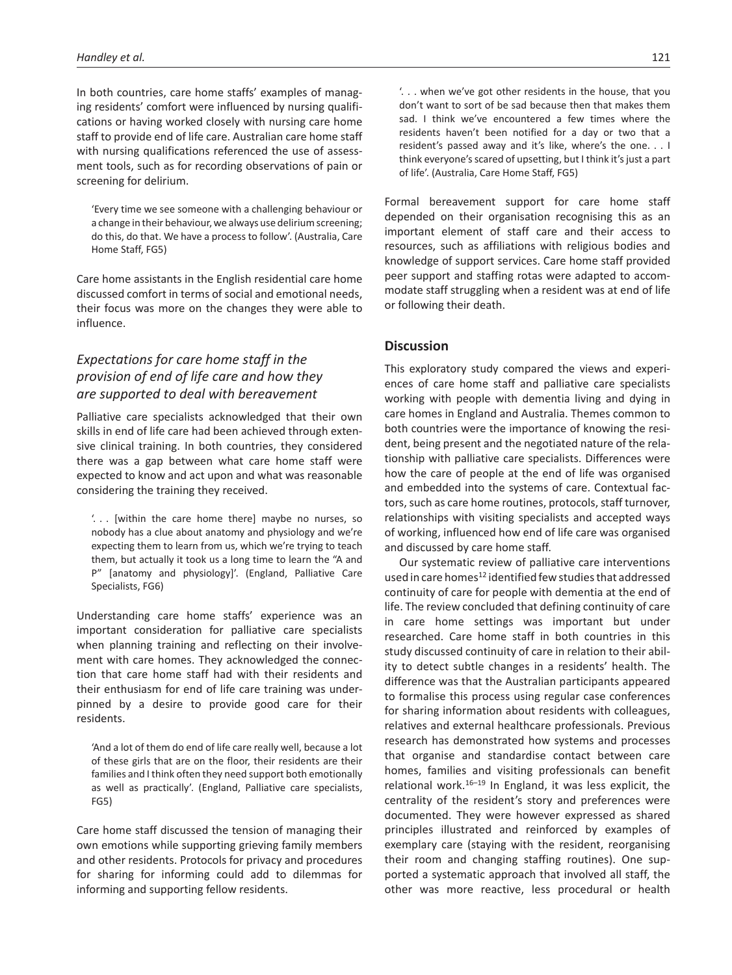In both countries, care home staffs' examples of managing residents' comfort were influenced by nursing qualifications or having worked closely with nursing care home staff to provide end of life care. Australian care home staff with nursing qualifications referenced the use of assessment tools, such as for recording observations of pain or screening for delirium.

'Every time we see someone with a challenging behaviour or a change in their behaviour, we always use delirium screening; do this, do that. We have a process to follow'. (Australia, Care Home Staff, FG5)

Care home assistants in the English residential care home discussed comfort in terms of social and emotional needs, their focus was more on the changes they were able to influence.

# *Expectations for care home staff in the provision of end of life care and how they are supported to deal with bereavement*

Palliative care specialists acknowledged that their own skills in end of life care had been achieved through extensive clinical training. In both countries, they considered there was a gap between what care home staff were expected to know and act upon and what was reasonable considering the training they received.

'. . . [within the care home there] maybe no nurses, so nobody has a clue about anatomy and physiology and we're expecting them to learn from us, which we're trying to teach them, but actually it took us a long time to learn the "A and P" [anatomy and physiology]'. (England, Palliative Care Specialists, FG6)

Understanding care home staffs' experience was an important consideration for palliative care specialists when planning training and reflecting on their involvement with care homes. They acknowledged the connection that care home staff had with their residents and their enthusiasm for end of life care training was underpinned by a desire to provide good care for their residents.

'And a lot of them do end of life care really well, because a lot of these girls that are on the floor, their residents are their families and I think often they need support both emotionally as well as practically'. (England, Palliative care specialists, FG5)

Care home staff discussed the tension of managing their own emotions while supporting grieving family members and other residents. Protocols for privacy and procedures for sharing for informing could add to dilemmas for informing and supporting fellow residents.

'. . . when we've got other residents in the house, that you don't want to sort of be sad because then that makes them sad. I think we've encountered a few times where the residents haven't been notified for a day or two that a resident's passed away and it's like, where's the one. . . I think everyone's scared of upsetting, but I think it's just a part of life'. (Australia, Care Home Staff, FG5)

Formal bereavement support for care home staff depended on their organisation recognising this as an important element of staff care and their access to resources, such as affiliations with religious bodies and knowledge of support services. Care home staff provided peer support and staffing rotas were adapted to accommodate staff struggling when a resident was at end of life or following their death.

### **Discussion**

This exploratory study compared the views and experiences of care home staff and palliative care specialists working with people with dementia living and dying in care homes in England and Australia. Themes common to both countries were the importance of knowing the resident, being present and the negotiated nature of the relationship with palliative care specialists. Differences were how the care of people at the end of life was organised and embedded into the systems of care. Contextual factors, such as care home routines, protocols, staff turnover, relationships with visiting specialists and accepted ways of working, influenced how end of life care was organised and discussed by care home staff.

Our systematic review of palliative care interventions used in care homes<sup>12</sup> identified few studies that addressed continuity of care for people with dementia at the end of life. The review concluded that defining continuity of care in care home settings was important but under researched. Care home staff in both countries in this study discussed continuity of care in relation to their ability to detect subtle changes in a residents' health. The difference was that the Australian participants appeared to formalise this process using regular case conferences for sharing information about residents with colleagues, relatives and external healthcare professionals. Previous research has demonstrated how systems and processes that organise and standardise contact between care homes, families and visiting professionals can benefit relational work. $16-19$  In England, it was less explicit, the centrality of the resident's story and preferences were documented. They were however expressed as shared principles illustrated and reinforced by examples of exemplary care (staying with the resident, reorganising their room and changing staffing routines). One supported a systematic approach that involved all staff, the other was more reactive, less procedural or health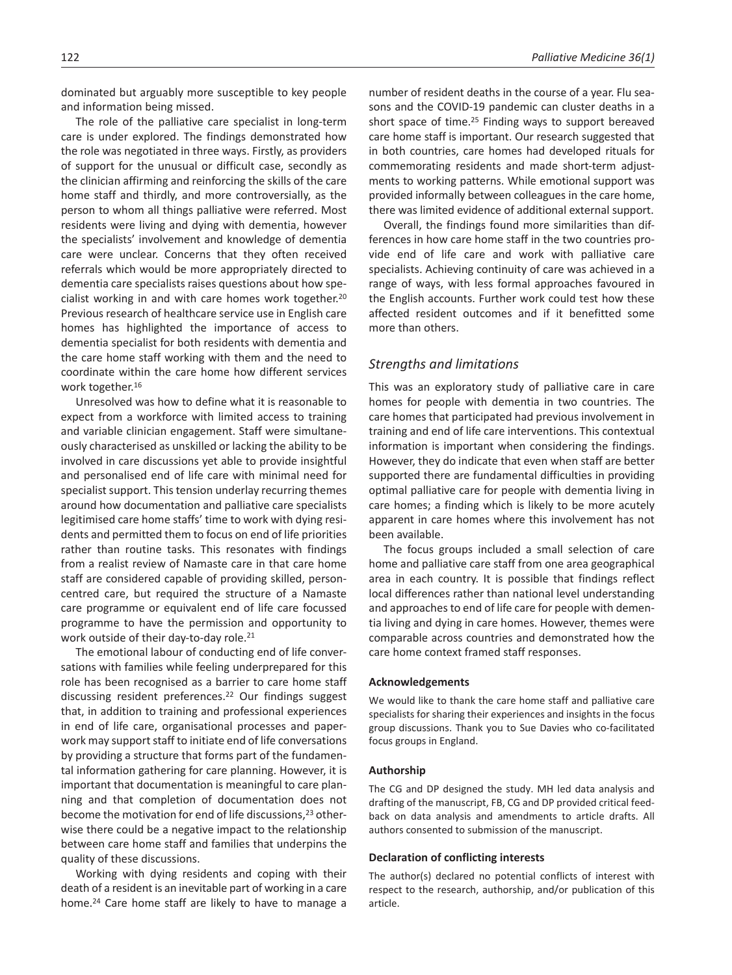dominated but arguably more susceptible to key people and information being missed.

The role of the palliative care specialist in long-term care is under explored. The findings demonstrated how the role was negotiated in three ways. Firstly, as providers of support for the unusual or difficult case, secondly as the clinician affirming and reinforcing the skills of the care home staff and thirdly, and more controversially, as the person to whom all things palliative were referred. Most residents were living and dying with dementia, however the specialists' involvement and knowledge of dementia care were unclear. Concerns that they often received referrals which would be more appropriately directed to dementia care specialists raises questions about how specialist working in and with care homes work together.20 Previous research of healthcare service use in English care homes has highlighted the importance of access to dementia specialist for both residents with dementia and the care home staff working with them and the need to coordinate within the care home how different services work together.16

Unresolved was how to define what it is reasonable to expect from a workforce with limited access to training and variable clinician engagement. Staff were simultaneously characterised as unskilled or lacking the ability to be involved in care discussions yet able to provide insightful and personalised end of life care with minimal need for specialist support. This tension underlay recurring themes around how documentation and palliative care specialists legitimised care home staffs' time to work with dying residents and permitted them to focus on end of life priorities rather than routine tasks. This resonates with findings from a realist review of Namaste care in that care home staff are considered capable of providing skilled, personcentred care, but required the structure of a Namaste care programme or equivalent end of life care focussed programme to have the permission and opportunity to work outside of their day-to-day role.<sup>21</sup>

The emotional labour of conducting end of life conversations with families while feeling underprepared for this role has been recognised as a barrier to care home staff discussing resident preferences.22 Our findings suggest that, in addition to training and professional experiences in end of life care, organisational processes and paperwork may support staff to initiate end of life conversations by providing a structure that forms part of the fundamental information gathering for care planning. However, it is important that documentation is meaningful to care planning and that completion of documentation does not become the motivation for end of life discussions,<sup>23</sup> otherwise there could be a negative impact to the relationship between care home staff and families that underpins the quality of these discussions.

Working with dying residents and coping with their death of a resident is an inevitable part of working in a care home.<sup>24</sup> Care home staff are likely to have to manage a

number of resident deaths in the course of a year. Flu seasons and the COVID-19 pandemic can cluster deaths in a short space of time.25 Finding ways to support bereaved care home staff is important. Our research suggested that in both countries, care homes had developed rituals for commemorating residents and made short-term adjustments to working patterns. While emotional support was provided informally between colleagues in the care home, there was limited evidence of additional external support.

Overall, the findings found more similarities than differences in how care home staff in the two countries provide end of life care and work with palliative care specialists. Achieving continuity of care was achieved in a range of ways, with less formal approaches favoured in the English accounts. Further work could test how these affected resident outcomes and if it benefitted some more than others.

### *Strengths and limitations*

This was an exploratory study of palliative care in care homes for people with dementia in two countries. The care homes that participated had previous involvement in training and end of life care interventions. This contextual information is important when considering the findings. However, they do indicate that even when staff are better supported there are fundamental difficulties in providing optimal palliative care for people with dementia living in care homes; a finding which is likely to be more acutely apparent in care homes where this involvement has not been available.

The focus groups included a small selection of care home and palliative care staff from one area geographical area in each country. It is possible that findings reflect local differences rather than national level understanding and approaches to end of life care for people with dementia living and dying in care homes. However, themes were comparable across countries and demonstrated how the care home context framed staff responses.

#### **Acknowledgements**

We would like to thank the care home staff and palliative care specialists for sharing their experiences and insights in the focus group discussions. Thank you to Sue Davies who co-facilitated focus groups in England.

### **Authorship**

The CG and DP designed the study. MH led data analysis and drafting of the manuscript, FB, CG and DP provided critical feedback on data analysis and amendments to article drafts. All authors consented to submission of the manuscript.

### **Declaration of conflicting interests**

The author(s) declared no potential conflicts of interest with respect to the research, authorship, and/or publication of this article.